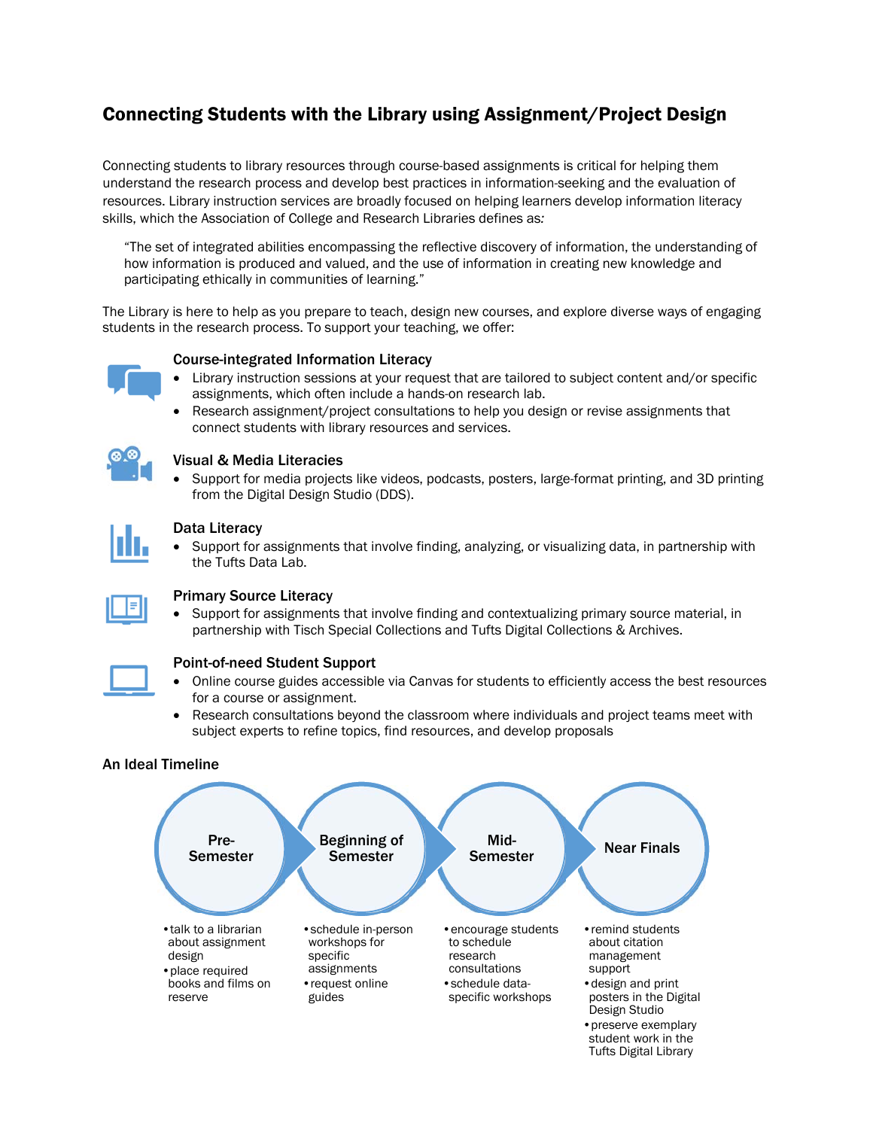# Connecting Students with the Library using Assignment/Project Design

Connecting students to library resources through course-based assignments is critical for helping them understand the research process and develop best practices in information-seeking and the evaluation of resources. Library instruction services are broadly focused on helping learners develop information literacy skills, which the Association of College and Research Libraries defines as*:*

"The set of integrated abilities encompassing the reflective discovery of information, the understanding of how information is produced and valued, and the use of information in creating new knowledge and participating ethically in communities of learning."

The Library is here to help as you prepare to teach, design new courses, and explore diverse ways of engaging students in the research process. To support your teaching, we offer:

## Course-integrated Information Literacy

- Library instruction sessions at your request that are tailored to subject content and/or specific assignments, which often include a hands-on research lab.
- Research assignment/project consultations to help you design or revise assignments that connect students with library resources and services.



## Visual & Media Literacies

 Support for media projects like videos, podcasts, posters, large-format printing, and 3D printing from the Digital Design Studio (DDS).

## Data Literacy

• Support for assignments that involve finding, analyzing, or visualizing data, in partnership with the Tufts Data Lab.



# Primary Source Literacy

 Support for assignments that involve finding and contextualizing primary source material, in partnership with Tisch Special Collections and Tufts Digital Collections & Archives.



## Point-of-need Student Support

- Online course guides accessible via Canvas for students to efficiently access the best resources for a course or assignment.
- Research consultations beyond the classroom where individuals and project teams meet with subject experts to refine topics, find resources, and develop proposals

## An Ideal Timeline



Tufts Digital Library